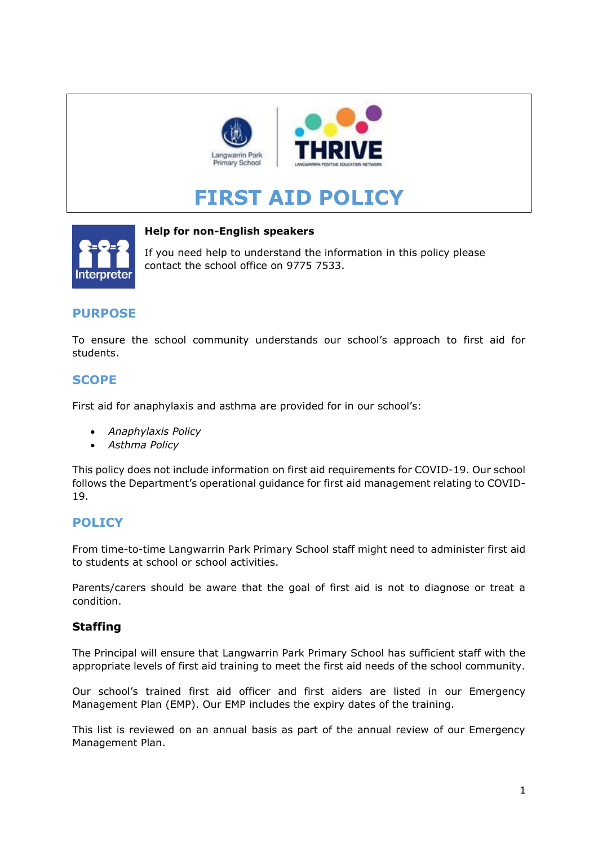

# **FIRST AID POLICY**



#### **Help for non-English speakers**

If you need help to understand the information in this policy please contact the school office on 9775 7533.

# **PURPOSE**

To ensure the school community understands our school's approach to first aid for students.

# **SCOPE**

First aid for anaphylaxis and asthma are provided for in our school's:

- *Anaphylaxis Policy*
- *Asthma Policy*

This policy does not include information on first aid requirements for COVID-19. Our school follows the Department's operational guidance for first aid management relating to COVID-19.

# **POLICY**

From time-to-time Langwarrin Park Primary School staff might need to administer first aid to students at school or school activities.

Parents/carers should be aware that the goal of first aid is not to diagnose or treat a condition.

### **Staffing**

The Principal will ensure that Langwarrin Park Primary School has sufficient staff with the appropriate levels of first aid training to meet the first aid needs of the school community.

Our school's trained first aid officer and first aiders are listed in our Emergency Management Plan (EMP). Our EMP includes the expiry dates of the training.

This list is reviewed on an annual basis as part of the annual review of our Emergency Management Plan.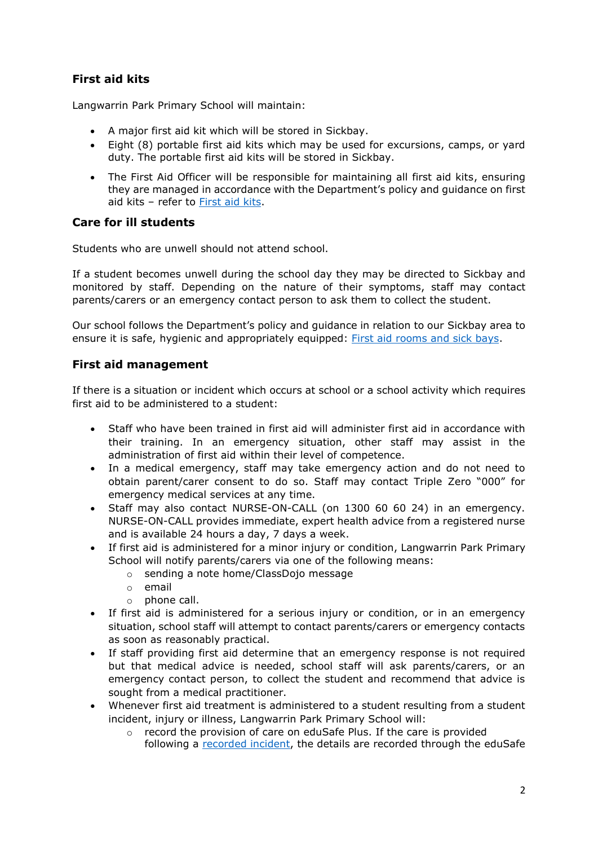# **First aid kits**

Langwarrin Park Primary School will maintain:

- A major first aid kit which will be stored in Sickbay.
- Eight (8) portable first aid kits which may be used for excursions, camps, or yard duty. The portable first aid kits will be stored in Sickbay.
- The First Aid Officer will be responsible for maintaining all first aid kits, ensuring they are managed in accordance with the Department's policy and guidance on first aid kits – refer to [First aid kits.](https://www2.education.vic.gov.au/pal/first-aid-students-and-staff/guidance/first-aid-kits)

### **Care for ill students**

Students who are unwell should not attend school.

If a student becomes unwell during the school day they may be directed to Sickbay and monitored by staff. Depending on the nature of their symptoms, staff may contact parents/carers or an emergency contact person to ask them to collect the student.

Our school follows the Department's policy and guidance in relation to our Sickbay area to ensure it is safe, hygienic and appropriately equipped: [First aid rooms and sick bays.](https://www2.education.vic.gov.au/pal/first-aid-students-and-staff/guidance/first-aid-rooms-and-sick-bays)

#### **First aid management**

If there is a situation or incident which occurs at school or a school activity which requires first aid to be administered to a student:

- Staff who have been trained in first aid will administer first aid in accordance with their training. In an emergency situation, other staff may assist in the administration of first aid within their level of competence.
- In a medical emergency, staff may take emergency action and do not need to obtain parent/carer consent to do so. Staff may contact Triple Zero "000" for emergency medical services at any time.
- Staff may also contact NURSE-ON-CALL (on 1300 60 60 24) in an emergency. NURSE-ON-CALL provides immediate, expert health advice from a registered nurse and is available 24 hours a day, 7 days a week.
- If first aid is administered for a minor injury or condition, Langwarrin Park Primary School will notify parents/carers via one of the following means:
	- o sending a note home/ClassDojo message
	- o email
	- o phone call.
- If first aid is administered for a serious injury or condition, or in an emergency situation, school staff will attempt to contact parents/carers or emergency contacts as soon as reasonably practical.
- If staff providing first aid determine that an emergency response is not required but that medical advice is needed, school staff will ask parents/carers, or an emergency contact person, to collect the student and recommend that advice is sought from a medical practitioner.
- Whenever first aid treatment is administered to a student resulting from a student incident, injury or illness, Langwarrin Park Primary School will:
	- o record the provision of care on eduSafe Plus. If the care is provided following a [recorded incident,](https://www2.education.vic.gov.au/pal/reporting-and-managing-school-incidents-including-emergencies/policy) the details are recorded through the eduSafe